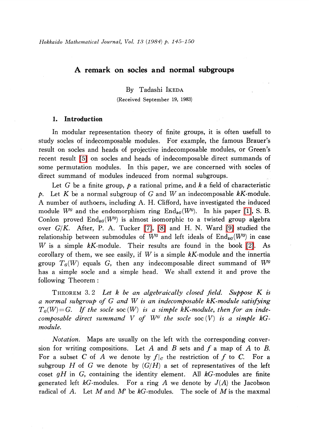# A remark on socles and normal subgroups

By Tadashi IKEDA

(Received September 19, 1983)

# 1. Introduction

In modular representation theory of finite groups, it is often usefull to study socles of indecomposable modules. For example, the famous Brauer's result on socles and heads of projective indecomposable modules, or Green's recent result [\[5\]](#page-5-0) on socles and heads of indecomposable direct summands of some permutation modules. In this paper, we are concerned with socles of direct summand of modules indeuced from normal subgroups.

Let G be a finite group,  $p$  a rational prime, and  $k$  a field of characteristic p. Let K be a normal subgroup of G and W an indecomposable  $k$ K-module. A number of authoers, including A. H. Clifford, have investigated the induced module  $W^{G}$  and the endomorphism ring  $\text{End}_{kG}(W^{G})$ . In his paper [\[1\],](#page-4-0) S. B. Conlon proved  $\text{End}_{kG}(W^{G})$  is almost isomorphic to a twisted group algebra over  $G/K$ . After, P. A. Tucker [\[7\],](#page-5-1) [\[8\]](#page-5-2) and H. N. Ward [\[9\]](#page-5-3) studied the relationship between submodules of  $W^{G}$  and left ideals of  $\text{End}_{kG}(W^{G})$  in case W is a simple  $kK$ -module. Their results are found in the book [\[2\].](#page-4-1) As corollary of them, we see easily, if W is a simple  $kK$ -module and the innertia group  $T_{G}(W)$  equals G, then any indecomposable direct summand of  $W^{G}$ has a simple socle and a simple head. We shall extend it and prove the following Theorem:

<span id="page-0-0"></span>THEOREM 3.2 Let  $k$  be an algebraically closed field. Suppose  $K$  is a normal subgroup of G and W is an indecomposable kK-module satisfying  $T_{G}(W)=G$ . If the socle soc  $(W)$  is a simple kK-module, then for an indecomposable direct summand V of  $W^{G}$  the socle soc (V) is a simple kGmodule.

Notation. Maps are usually on the left with the corresponding conversion for writing compositions. Let A and B sets and f a map of A to B.<br>For a subset C of A we denote by  $f|_a$  the restriction of f to C. For a For a subset C of A we denote by  $f|_{C}$  the restriction of f to C. For a subgroup H of G we denote by  $(G/H)$  a set of representatives of the left subgroup H of G we denote by  $(G/H)$  a set of representatives of the left coset  $gH$  in G, containing the identity element. All  $kG$ -modules are finite generated left kG-modules. For a ring A we denote by  $J(A)$  the Jacobson radical of A. Let M and M' be  $kG$ -modules. The socle of M is the maxmal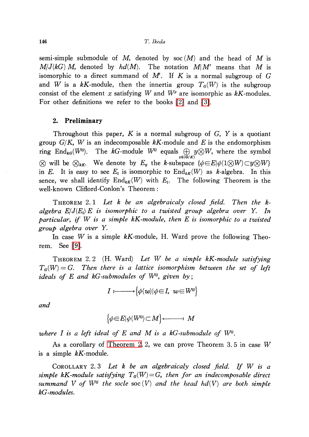## 146 T. Ikeda

semi-simple submodule of M, denoted by soc  $(M)$  and the head of M is  $M/J(kG)$  M, denoted by  $hd(M)$ . The notation  $M/M'$  means that M is isomorphic to a direct summand of  $M'$ . If K is a normal subgroup of G and W is a kK-module, then the innertia group  $T_{G}(W)$  is the subgroup consist of the element x satisfying W and  $W^{x}$  are isomorphic as kK-modules. For other definitions we refer to the books [\[2\]](#page-4-1) and [\[3\].](#page-4-2)

## 2. Preliminary

Throughout this paper, K is a normal subgroup of  $G$ , Y is a quotiant group  $G/K$ , W is an indecomposable kK-module and E is the endomorphism ring End $_{kG}(W^{G}).$  The  $kG\text{-module}$   $W^{G}$  equals  $\bigoplus\ y\!\otimes\! W,$  where the symbol  $\otimes$  will be  $\otimes_{k\kappa}$ . We denote by  $E_{y}$  the k-subspace  $\{\phi\in E|\phi(1\otimes W)\subset y\otimes W\}$ in E. It is easy to see  $E_{1}$  is isomorphic to  $\text{End}_{kK}(W)$  as k-algebra. In this sence, we shall identify  $\mathrm{End}_{kK}(W)$  with  $E_{1}$ . The following Theorem is the well-known Clifford-Conlon's Theorem :

<span id="page-1-1"></span>THEOREM 2.1 Let  $k$  be an algebraicaly closed field. Then the  $k$ algebra  $E/J(E_1)E$  is isomorphic to a twisted group algebra over Y. In particular, if W is <sup>a</sup> simple kK-module, then E is isomorphic to <sup>a</sup> twisted group algebra over Y.

In case W is a simple  $kK$ -module, H. Ward prove the following Theorem. See [\[9\].](#page-5-3)

<span id="page-1-0"></span>THEOREM 2.2 (H. Ward) Let W be a simple  $kK$ -module satisfying  $T_{G}(W)=G$ . Then there is a lattice isomorphism between the set of left ideals of  $E$  and  $kG$ -submodules of  $W^{G},$  given by;

$$
I \longmapsto \big\{ \phi(w) | \phi \in I, \ w \in W^a \big\}
$$

and

$$
\big\{\phi\in E|\phi(W^a)\subset M\big\}\longleftarrow\longrightarrow M
$$

where  $I$  is a left ideal of  $E$  and  $M$  is a kG-submodule of  $W^{a}.$ 

As a corollary of [Theorem](#page-1-0) 2. 2, we can prove Theorem 3. 5 in case W is a simple  $kK$ -module.

<span id="page-1-2"></span>COROLLARY 2.3 Let  $k$  be an algebraicaly closed field. If  $W$  is a simple kK-module satisfying  $T_{G}(W)=G$ , then for an indecomposable direct summand V of  $W^{G}$  the socle soc  $(V)$  and the head hd(V) are both simple kG-modules.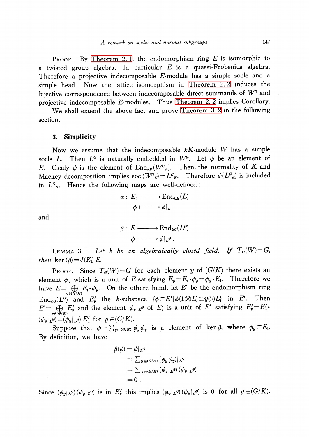PROOF. By [Theorem](#page-1-1) 2.1, the endomorphism ring  $E$  is isomorphic to a twisted group algebra. In particular  $E$  is a quassi-Frobenius algebra. Therefore a projective indecomposable E-module has a simple socle and a simple head. Now the lattice isomorphism in [Theorem](#page-1-0) 2. 2 induces the bijective correspondence between indecomposable direct summands of  $W^{G}$  and projective indecomposable E-modules. Thus [Theorem](#page-1-0) 2. 2 implies Corollary.

We shall extend the above fact and prove [Theorem](#page-0-0) 3. 2 in the following section.

## 3. Simplicity

Now we assume that the indecomposable  $kK$ -module W has a simple socle L. Then  $L^{G}$  is naturally embedded in  $W^{G}$ . Let  $\phi$  be an element of E. Clealy  $\phi$  is the element of  $\text{End}_{kK}(W_{\mathcal{K}}^G)$ . Then the normality of K and Mackey decomposition implies soc  $(W_{K}^G)=L_{K}^{G}$ . Therefore  $\phi(L_{K}^{G})$  is included in  $L_{K}^{\sigma}$ . Hence the following maps are well-defined:

$$
\alpha: E_1 \longrightarrow \text{End}_{kK}(L)
$$

$$
\phi \longmapsto \phi|_L
$$

and

$$
\beta: E \longrightarrow \text{End}_{kG}(L^G)
$$

$$
\phi \longmapsto \phi|_{L^G}.
$$

LEMMA 3.1 Let k be an algebraically closed field. If  $T_{G}(W)=G$ , then ker  $(\beta)=J(E_{1})E$ .

PROOF. Since  $T_{G}(W)=G$  for each element y of  $(G/K)$  there exists an element  $\phi_{y}$  which is a unit of E satisfying  $E_{y}$  =  $E_{1}\cdot\phi_{y}$  =  $\phi_{y}\cdot E_{1}$ . Therefore we have  $E = \bigoplus_{y\in(G/K)}E_{1}\cdot\phi_{y}$ . On the othere hand, let E' be the endomorphism ring End<sub>kG</sub>( $L^{G}$ ) and  $E'_{y}$  the k-subspace  $\{\phi\in E'|\phi(1\otimes L)\subset y\otimes L\}$  in E'. Then  $E'=\bigoplus_{y\in(G/K)}E'_{y}$  and the element  $\psi_{y}|_{L^G}$  of  $E'_{y}$  is a unit of  $E'$  satisfying  $E'_{y}=E'_{1}$ .  $(\phi_{y}|_{L^{Q}}){=}\left(\phi_{y}|_{L^{Q}}\right)E_{1}'$  for  $y{\in}(G/K) .$ 

Suppose that  $\phi=\sum_{y\in(G/K)}\phi_{y}\phi_{y}$  is a element of ker  $\beta$ , where  $\phi_{y}\in E_{1}$ . By definition, we have

$$
\beta(\phi) = \phi|_{L^{G}}
$$
  
=  $\sum_{y \in (G/K)} (\phi_y \psi_y)|_{L^{G}}$   
=  $\sum_{y \in (G/K)} (\phi_y|_{L^{G}})(\phi_y|_{L^{G}})$   
= 0.

Since  $(\phi_{y}|_{L^{\alpha}})(\phi_{y}|_{L^{\alpha}})$  is in  $E_{y}'$  this implies  $(\phi_{y}|_{L^{\alpha}})(\phi_{y}|_{L^{\alpha}})$  is 0 for all  $y\in(G/K)$ .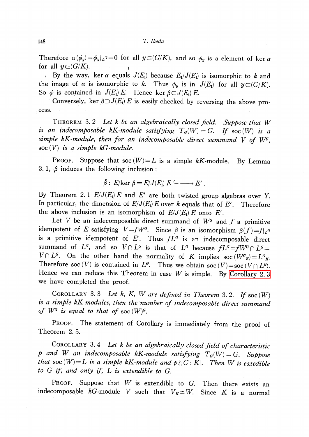## 148 T. Ikeda

Therefore  $\alpha(\phi_{y})=\phi_{y}|_{L^{\gamma}}=0$  for all  $y\in(G/K)$ , and so  $\phi_{y}$  is a element of ker  $\alpha$ for all  $y\in{\mathcal G}/K$ ).

By the way, ker  $\alpha$  equals  $J(E_{1})$  because  $E_{1}/J(E_{1})$  is isomorphic to k and the image of  $\alpha$  is isomorphic to k. Thus  $\phi_{y}$  is in  $J(E_{1})$  for all  $y\in(G/K)$ . So  $\phi$  is contained in  $J(E_{1})E$ . Hence ker  $\beta\subset J(E_{1})E$ .

Conversely, ker  $\beta\supset J(E_{1})E$  is easily checked by reversing the above process.

THEOREM 3.2 Let  $k$  be an algebraically closed field. Suppose that  $W$ is an indecomposable kK-module satisfying  $T_{G}(W)=G$ . If soc  $(W)$  is a simple kK-module, then for an indecomposable direct summand  $V$  of  $W^{G}$ , soc  $(V)$  is a simple kG-module.

**PROOF.** Suppose that soc  $(W) = L$  is a simple kK-module. By Lemma 3. 1,  $\beta$  induces the following inclusion :

$$
\bar{\beta}:\ E/\text{ker }\beta = E/J(E_{\text{i}})\ E \subseteq \longrightarrow E'
$$

By Theorem 2.1  $E/J(E_{1})E$  and E' are both twisted group algebras over Y. In particular, the dimension of  $E/J(E_{1})E$  over k equals that of E'. Therefore the above inclusion is an isomorphism of  $E/J(E_{1})E$  onto E'.

Let V be an indecomposable direct summand of  $W^{G}$  and f a primitive<br>potent of E satisfying  $V = fW^{G}$ . Since  $\overline{B}$  is an isomorphism  $B(f) - f(g)$ idempotent of E satisfying  $V=fW^{G}$ . Since  $\overline{\beta}$  is an isomorphism  $\beta(f)=f|_{L^{G}}$ is a primitive idempotent of E'. Thus  $fL^{G}$  is an indecomposable direct summand of  $L^{G},$  and so  $V\cap L^{G}$  is that of  $L^{G}$  because  $fL^{G}=fW^{G}\cap L^{G}=$  $V\cap L^{G}$ . On the other hand the normality of K implies soc ( $W^{G}{}_{K}$ )= $L^{G}{}_{K}$ . Therefore soc  $(V)$  is contained in  $L^{G}$ . Thus we obtain soc  $(V)=$ soc  $(V\cap L^{G})$ . Hence we can reduce this Theorem in case  $W$  is simple. By [Corollary](#page-1-2) 2.3 we have completed the proof.

COROLLARY 3.3 Let k, K, W are defined in Theorem 3.2. If soc  $(W)$ is <sup>a</sup> simple kK-modules, then the number of indecomposable direct summand of  $W^{G}$  is equal to that of soc  $(W)^{G}$ .

PROOF. The statement of Corollary is immediately from the proof of Theorem 2. 5.

COROLLARY 3.4 Let k be an algebraically closed field of characteristic p and W an indecomposable kK-module satisfying  $T_{G}(W)=G$ . Suppose that soc  $(W)=L$  is a simple kK-module and  $p/|G:K|$ . Then W is extedible to  $G$  if, and only if,  $L$  is extendible to  $G$ .

PROOF. Suppose that  $W$  is extendible to  $G$ . Then there exists an indecomposable kG-module V such that  $V_{K} \simeq W$ . Since K is a normal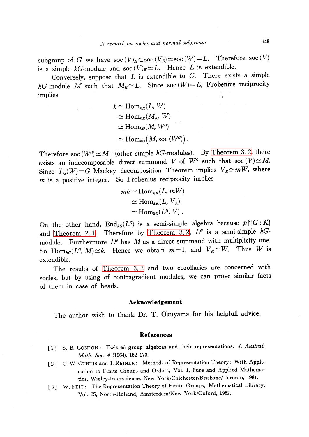subgroup of G we have  $\operatorname{soc}(V)_{K}\subset$  soc $(V_{K})\simeq$  soc $(W)=L$ . Therefore soc  $(V)$ is a simple kG-module and soc  $(V)_{K}\simeq L$ . Hence L is extendible.

Conversely, suppose that  $L$  is extendible to  $G$ . There exists a simple kG-module M such that  $M_{K}\simeq L$ . Since soc  $(W)=L$ , Frobenius reciprocity implies

$$
k \simeq \text{Hom}_{kK}(L, W)
$$
  
\n
$$
\simeq \text{Hom}_{kK}(M_K, W)
$$
  
\n
$$
\simeq \text{Hom}_{kG}(M, W^G)
$$
  
\n
$$
\simeq \text{Hom}_{kG}(M, \text{soc}(W^G)).
$$

Therefore soc ( $W^{G}$ ) $\simeq M+$  (other simple kG-modules). By [Theorem](#page-0-0) 3. 2, there exists an indecomposable direct summand V of  $W^{G}$  such that soc  $(V) \simeq M$ . Since  $T_{G}(W)=G$  Mackey decomposition Theorem implies  $V_{K}\simeq mW$ , where  $m$  is a positive integer. So Frobenius reciprocity implies

$$
mk \simeq \text{Hom}_{kK}(L, mW)
$$

$$
\simeq \text{Hom}_{kK}(L, V_K)
$$

$$
\simeq \text{Hom}_{kG}(L^G, V) .
$$

On the other hand,  $\text{End}_{kG}(L^{G})$  is a semi-simple algebra because  $p\nmid|G:K|$ and [Theorem](#page-0-0) 2.1. Therefore by Theorem 3.2,  $L^{G}$  is a semi-simple  $kG$ module. Furthermore  $L^{G}$  has M as a direct summand with multiplicity one.<br>So Hom  $g(L^{G} M) \sim k$  Hence we obtain  $m=1$ , and  $V_x \simeq W$ . Thus W is So Hom<sub>kG</sub>( $L^{G}$ ,  $M$ ) $\simeq$ k. Hence we obtain  $m=1$ , and  $V_{K} \simeq W$ . extendible.

The results of [Theorem](#page-0-0) 3. <sup>2</sup> and two corollaries are concerned with socles, but by using of contragradient modules, we can prove similar facts of them in case of heads.

## Acknowledgement

The author wish to thank Dr. T. Okuyama for his helpfull advice.

## References

- <span id="page-4-0"></span>[1] S. B. CONLON: Twisted group algebras and their representations, J. Austral. Math. Soc. 4 (1964), 152-173.
- <span id="page-4-1"></span>[2] C. W. CURTIS and I. REINER: Methods of Representation Theory: With Application to Finite Groups and Orders, Vol. 1, Pure and Applied Mathematics, Wieley-Interscience, New York/Chichester/Brisbane/Toronto, 1981.
- <span id="page-4-2"></span>[3] W. FEIT: The Representation Theory of Finite Groups, Mathematical Library, Vol. 25, North-Holland, Amsterdam/New York/Oxford, 1982.